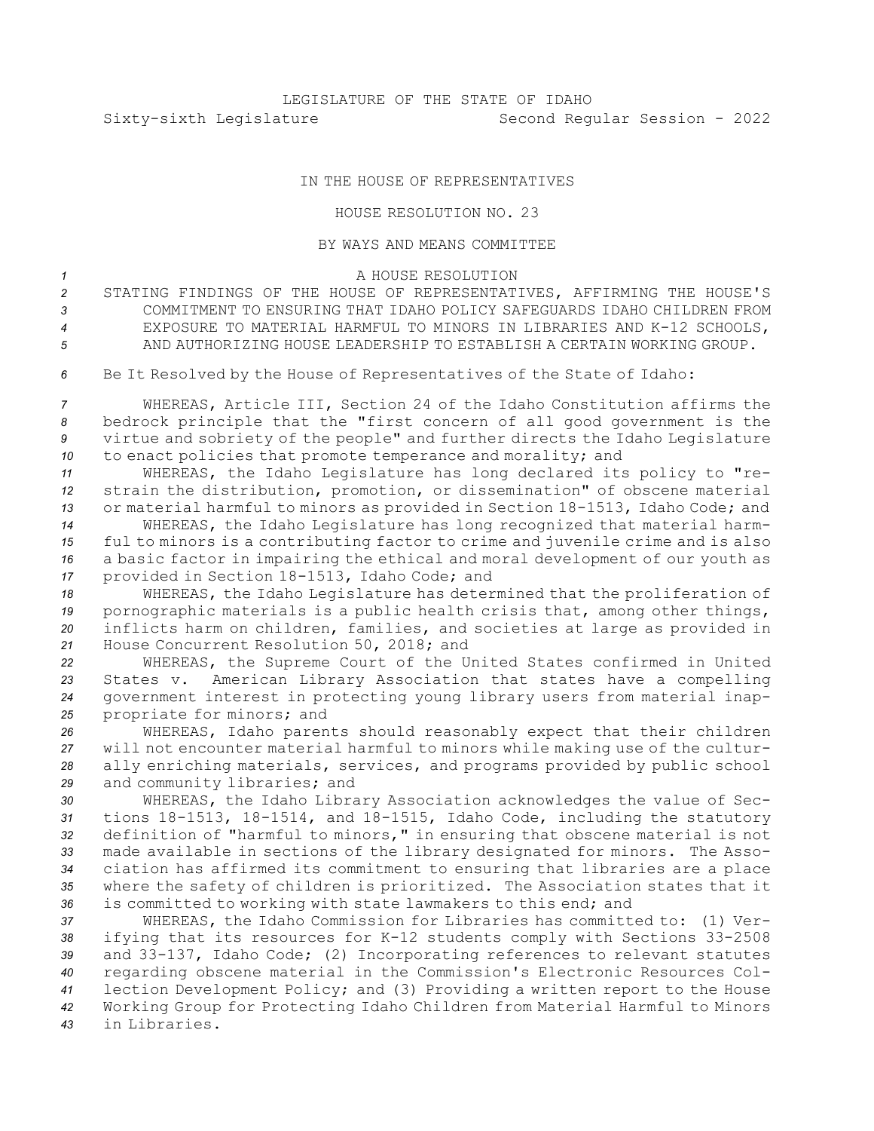## IN THE HOUSE OF REPRESENTATIVES

## HOUSE RESOLUTION NO. 23

## BY WAYS AND MEANS COMMITTEE

## *1* A HOUSE RESOLUTION

- *<sup>2</sup>* STATING FINDINGS OF THE HOUSE OF REPRESENTATIVES, AFFIRMING THE HOUSE'S *3* COMMITMENT TO ENSURING THAT IDAHO POLICY SAFEGUARDS IDAHO CHILDREN FROM
- *<sup>4</sup>* EXPOSURE TO MATERIAL HARMFUL TO MINORS IN LIBRARIES AND K-12 SCHOOLS, *5* AND AUTHORIZING HOUSE LEADERSHIP TO ESTABLISH A CERTAIN WORKING GROUP.
- *<sup>6</sup>* Be It Resolved by the House of Representatives of the State of Idaho:

 WHEREAS, Article III, Section 24 of the Idaho Constitution affirms the bedrock principle that the "first concern of all good government is the virtue and sobriety of the people" and further directs the Idaho Legislature to enact policies that promote temperance and morality; and

 WHEREAS, the Idaho Legislature has long declared its policy to "re- strain the distribution, promotion, or dissemination" of obscene material or material harmful to minors as provided in Section 18-1513, Idaho Code; and WHEREAS, the Idaho Legislature has long recognized that material harm-

*<sup>15</sup>* ful to minors is <sup>a</sup> contributing factor to crime and juvenile crime and is also *<sup>16</sup>* <sup>a</sup> basic factor in impairing the ethical and moral development of our youth as *<sup>17</sup>* provided in Section 18-1513, Idaho Code; and

 WHEREAS, the Idaho Legislature has determined that the proliferation of pornographic materials is <sup>a</sup> public health crisis that, among other things, inflicts harm on children, families, and societies at large as provided in House Concurrent Resolution 50, 2018; and

 WHEREAS, the Supreme Court of the United States confirmed in United States v. American Library Association that states have <sup>a</sup> compelling government interest in protecting young library users from material inap-propriate for minors; and

 WHEREAS, Idaho parents should reasonably expect that their children will not encounter material harmful to minors while making use of the cultur- ally enriching materials, services, and programs provided by public school and community libraries; and

 WHEREAS, the Idaho Library Association acknowledges the value of Sec- tions 18-1513, 18-1514, and 18-1515, Idaho Code, including the statutory definition of "harmful to minors," in ensuring that obscene material is not made available in sections of the library designated for minors. The Asso- ciation has affirmed its commitment to ensuring that libraries are <sup>a</sup> place where the safety of children is prioritized. The Association states that it is committed to working with state lawmakers to this end; and

 WHEREAS, the Idaho Commission for Libraries has committed to: (1) Ver- ifying that its resources for K-12 students comply with Sections 33-2508 and 33-137, Idaho Code; (2) Incorporating references to relevant statutes regarding obscene material in the Commission's Electronic Resources Col- lection Development Policy; and (3) Providing <sup>a</sup> written report to the House Working Group for Protecting Idaho Children from Material Harmful to Minors in Libraries.